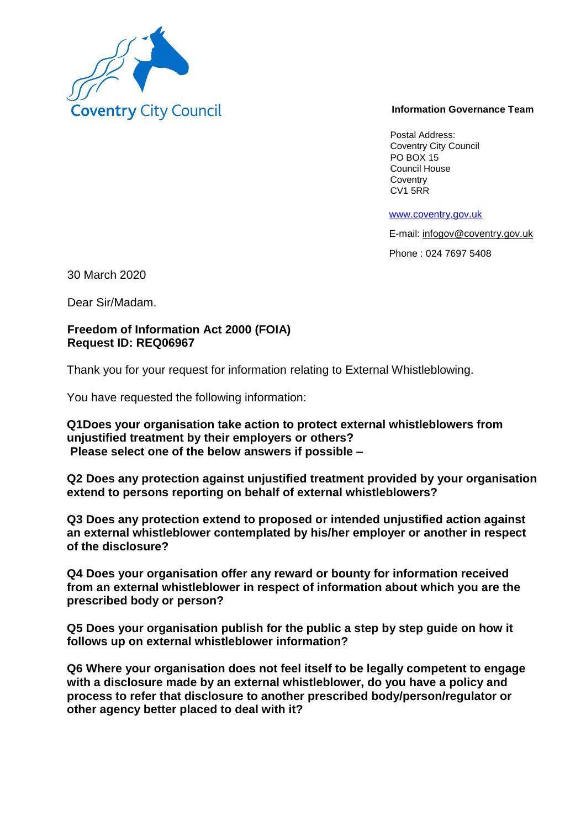

## **Information Governance Team**

Postal Address: Coventry City Council PO BOX 15 Council House **Coventry** CV1 5RR

www.coventry.gov.uk

E-mail: infogov@coventry.gov.uk

Phone : 024 7697 5408

30 March 2020

Dear Sir/Madam.

## **Freedom of Information Act 2000 (FOIA) Request ID: REQ06967**

Thank you for your request for information relating to External Whistleblowing.

You have requested the following information:

**Q1Does your organisation take action to protect external whistleblowers from unjustified treatment by their employers or others? Please select one of the below answers if possible –**

**Q2 Does any protection against unjustified treatment provided by your organisation extend to persons reporting on behalf of external whistleblowers?**

**Q3 Does any protection extend to proposed or intended unjustified action against an external whistleblower contemplated by his/her employer or another in respect of the disclosure?**

**Q4 Does your organisation offer any reward or bounty for information received from an external whistleblower in respect of information about which you are the prescribed body or person?**

**Q5 Does your organisation publish for the public a step by step guide on how it follows up on external whistleblower information?**

**Q6 Where your organisation does not feel itself to be legally competent to engage with a disclosure made by an external whistleblower, do you have a policy and process to refer that disclosure to another prescribed body/person/regulator or other agency better placed to deal with it?**